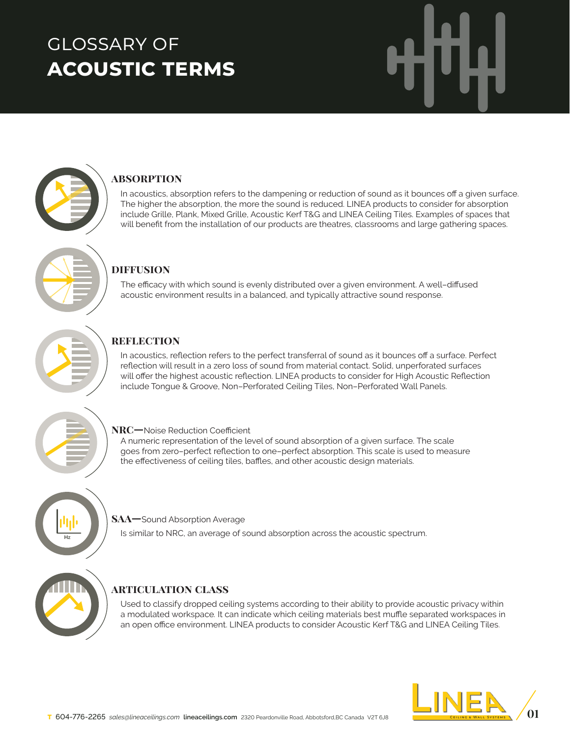# glossary of **acoustic terms**



### **absorption**

In acoustics, absorption refers to the dampening or reduction of sound as it bounces off a given surface. The higher the absorption, the more the sound is reduced. LINEA products to consider for absorption include Grille, Plank, Mixed Grille, Acoustic Kerf T&G and LINEA Ceiling Tiles. Examples of spaces that will benefit from the installation of our products are theatres, classrooms and large gathering spaces.



### **diffusion**

The efficacy with which sound is evenly distributed over a given environment. A well–diffused acoustic environment results in a balanced, and typically attractive sound response.



## **reflection**

In acoustics, reflection refers to the perfect transferral of sound as it bounces off a surface. Perfect reflection will result in a zero loss of sound from material contact. Solid, unperforated surfaces will offer the highest acoustic reflection. LINEA products to consider for High Acoustic Reflection include Tongue & Groove, Non–Perforated Ceiling Tiles, Non–Perforated Wall Panels.



### **NRC**—Noise Reduction Coefficient

A numeric representation of the level of sound absorption of a given surface. The scale goes from zero–perfect reflection to one–perfect absorption. This scale is used to measure the effectiveness of ceiling tiles, baffles, and other acoustic design materials.



### **SAA—**Sound Absorption Average

Is similar to NRC, an average of sound absorption across the acoustic spectrum.



### **articulation class**

Used to classify dropped ceiling systems according to their ability to provide acoustic privacy within a modulated workspace*.* It can indicate which ceiling materials best muffle separated workspaces in an open office environment. LINEA products to consider Acoustic Kerf T&G and LINEA Ceiling Tiles.